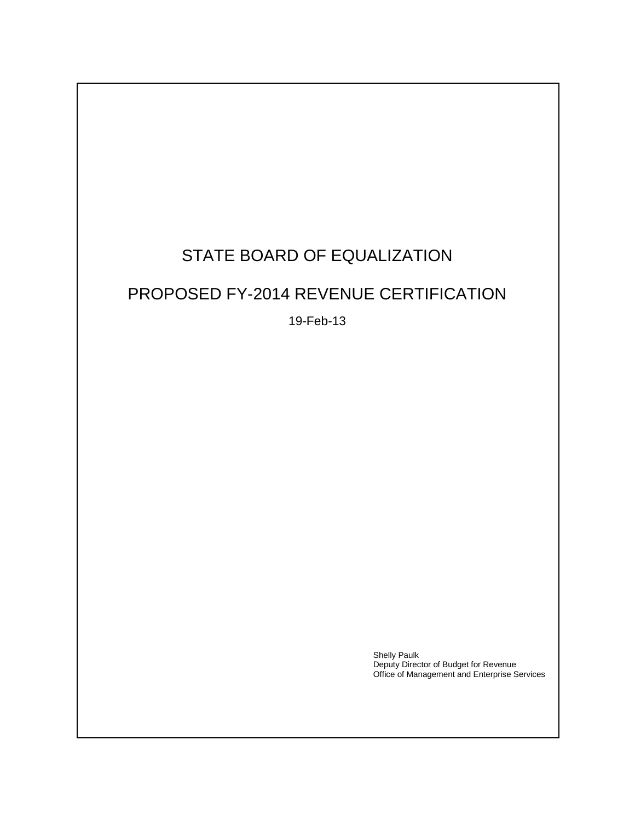# STATE BOARD OF EQUALIZATION

## PROPOSED FY-2014 REVENUE CERTIFICATION

19-Feb-13

Shelly Paulk Deputy Director of Budget for Revenue Office of Management and Enterprise Services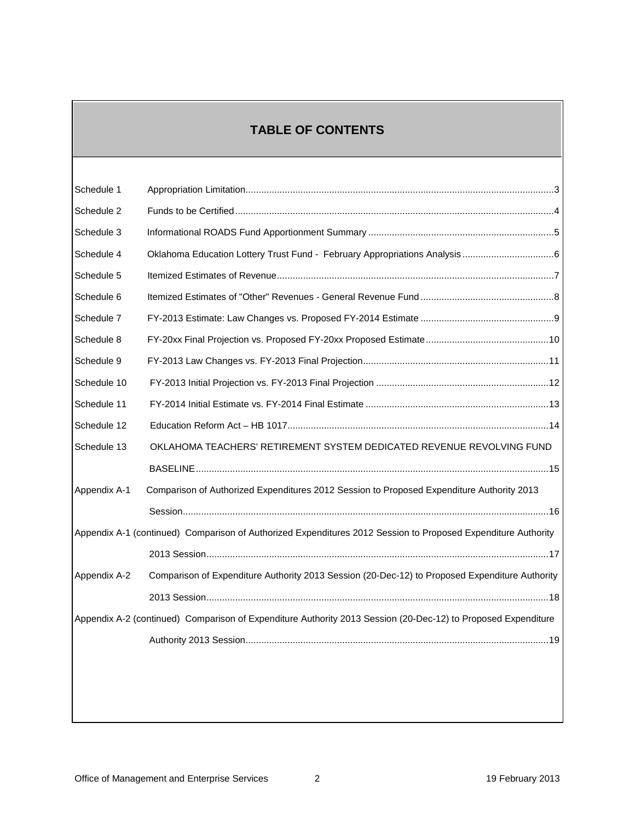### **TABLE OF CONTENTS**

| Schedule 1   |                                                                                                               |
|--------------|---------------------------------------------------------------------------------------------------------------|
| Schedule 2   |                                                                                                               |
| Schedule 3   |                                                                                                               |
| Schedule 4   |                                                                                                               |
| Schedule 5   |                                                                                                               |
| Schedule 6   |                                                                                                               |
| Schedule 7   |                                                                                                               |
| Schedule 8   |                                                                                                               |
| Schedule 9   |                                                                                                               |
| Schedule 10  |                                                                                                               |
| Schedule 11  |                                                                                                               |
| Schedule 12  |                                                                                                               |
| Schedule 13  | OKLAHOMA TEACHERS' RETIREMENT SYSTEM DEDICATED REVENUE REVOLVING FUND                                         |
|              |                                                                                                               |
| Appendix A-1 | Comparison of Authorized Expenditures 2012 Session to Proposed Expenditure Authority 2013                     |
|              |                                                                                                               |
|              | Appendix A-1 (continued) Comparison of Authorized Expenditures 2012 Session to Proposed Expenditure Authority |
|              |                                                                                                               |
| Appendix A-2 | Comparison of Expenditure Authority 2013 Session (20-Dec-12) to Proposed Expenditure Authority                |
|              |                                                                                                               |
|              | Appendix A-2 (continued) Comparison of Expenditure Authority 2013 Session (20-Dec-12) to Proposed Expenditure |
|              |                                                                                                               |
|              |                                                                                                               |
|              |                                                                                                               |
|              |                                                                                                               |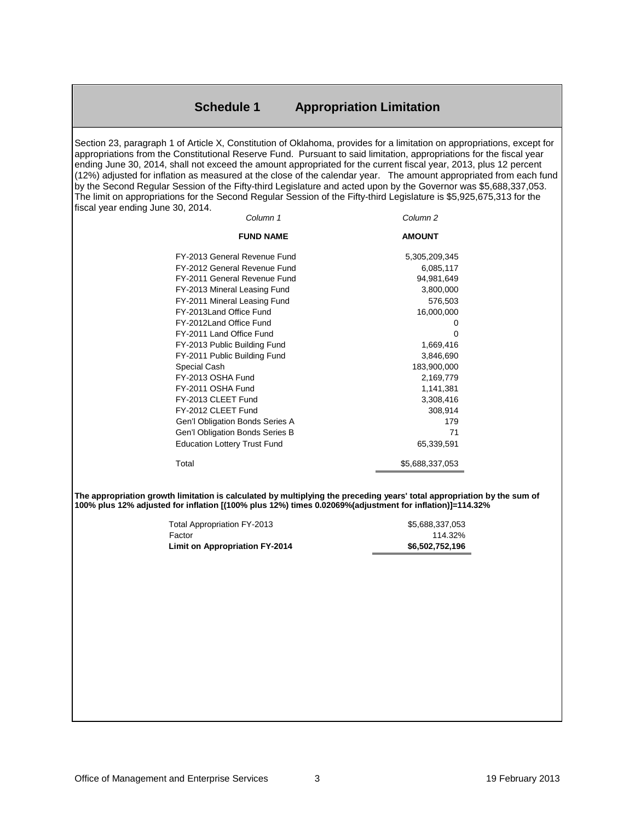#### **Schedule 1 Appropriation Limitation**

<span id="page-2-0"></span>Section 23, paragraph 1 of Article X, Constitution of Oklahoma, provides for a limitation on appropriations, except for appropriations from the Constitutional Reserve Fund. Pursuant to said limitation, appropriations for the fiscal year ending June 30, 2014, shall not exceed the amount appropriated for the current fiscal year, 2013, plus 12 percent (12%) adjusted for inflation as measured at the close of the calendar year. The amount appropriated from each fund by the Second Regular Session of the Fifty-third Legislature and acted upon by the Governor was \$5,688,337,053. The limit on appropriations for the Second Regular Session of the Fifty-third Legislature is \$5,925,675,313 for the fiscal year ending June 30, 2014.

| Column 1                            | Column 2        |
|-------------------------------------|-----------------|
| <b>FUND NAME</b>                    | <b>AMOUNT</b>   |
| FY-2013 General Revenue Fund        | 5,305,209,345   |
| FY-2012 General Revenue Fund        | 6,085,117       |
| FY-2011 General Revenue Fund        | 94,981,649      |
| FY-2013 Mineral Leasing Fund        | 3,800,000       |
| FY-2011 Mineral Leasing Fund        | 576,503         |
| FY-2013Land Office Fund             | 16,000,000      |
| FY-2012Land Office Fund             | 0               |
| FY-2011 Land Office Fund            | 0               |
| FY-2013 Public Building Fund        | 1,669,416       |
| FY-2011 Public Building Fund        | 3,846,690       |
| Special Cash                        | 183,900,000     |
| FY-2013 OSHA Fund                   | 2,169,779       |
| FY-2011 OSHA Fund                   | 1,141,381       |
| FY-2013 CLEET Fund                  | 3,308,416       |
| FY-2012 CLEET Fund                  | 308,914         |
| Gen'l Obligation Bonds Series A     | 179             |
| Gen'l Obligation Bonds Series B     | 71              |
| <b>Education Lottery Trust Fund</b> | 65,339,591      |
| Total                               | \$5,688,337,053 |

**The appropriation growth limitation is calculated by multiplying the preceding years' total appropriation by the sum of 100% plus 12% adjusted for inflation [(100% plus 12%) times 0.02069%(adjustment for inflation)]=114.32%**

| Total Appropriation FY-2013           | \$5.688.337.053 |
|---------------------------------------|-----------------|
| Factor                                | 114.32%         |
| <b>Limit on Appropriation FY-2014</b> | \$6,502,752,196 |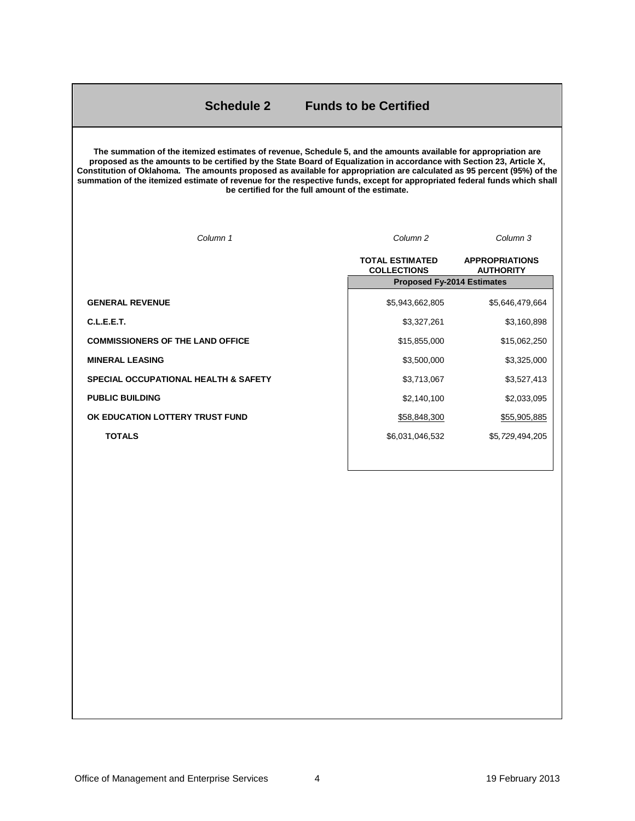#### **Schedule 2 Funds to be Certified**

<span id="page-3-0"></span>**The summation of the itemized estimates of revenue, Schedule 5, and the amounts available for appropriation are proposed as the amounts to be certified by the State Board of Equalization in accordance with Section 23, Article X, Constitution of Oklahoma. The amounts proposed as available for appropriation are calculated as 95 percent (95%) of the summation of the itemized estimate of revenue for the respective funds, except for appropriated federal funds which shall be certified for the full amount of the estimate.**

| Column 1                                        | Column <sub>2</sub>                          | Column 3                                  |
|-------------------------------------------------|----------------------------------------------|-------------------------------------------|
|                                                 | <b>TOTAL ESTIMATED</b><br><b>COLLECTIONS</b> | <b>APPROPRIATIONS</b><br><b>AUTHORITY</b> |
|                                                 | <b>Proposed Fy-2014 Estimates</b>            |                                           |
| <b>GENERAL REVENUE</b>                          | \$5,943,662,805                              | \$5,646,479,664                           |
| C.L.E.E.T.                                      | \$3,327,261                                  | \$3,160,898                               |
| <b>COMMISSIONERS OF THE LAND OFFICE</b>         | \$15,855,000                                 | \$15,062,250                              |
| <b>MINERAL LEASING</b>                          | \$3,500,000                                  | \$3,325,000                               |
| <b>SPECIAL OCCUPATIONAL HEALTH &amp; SAFETY</b> | \$3,713,067                                  | \$3,527,413                               |
| <b>PUBLIC BUILDING</b>                          | \$2,140,100                                  | \$2,033,095                               |
| OK EDUCATION LOTTERY TRUST FUND                 | \$58,848,300                                 | \$55,905,885                              |
| <b>TOTALS</b>                                   | \$6,031,046,532                              | \$5,729,494,205                           |
|                                                 |                                              |                                           |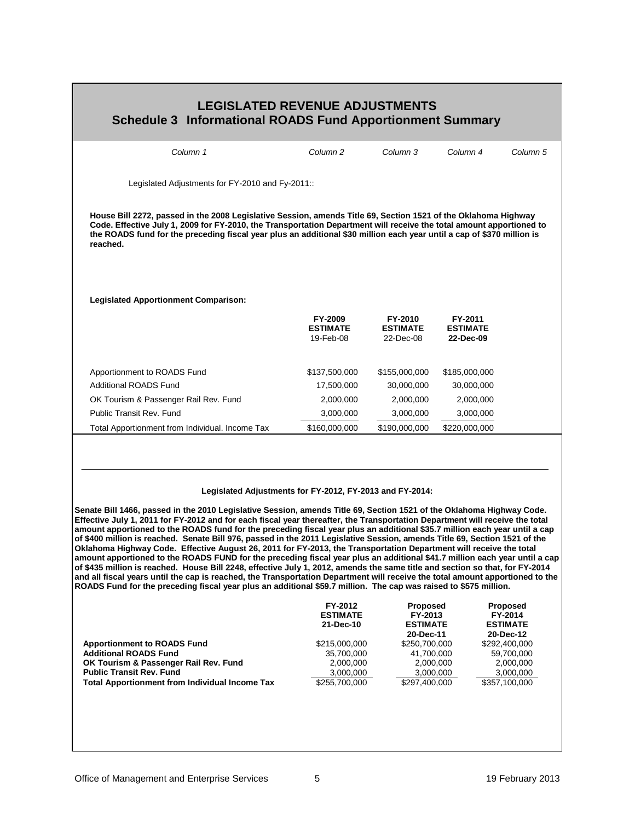<span id="page-4-0"></span>

| <b>LEGISLATED REVENUE ADJUSTMENTS</b><br><b>Schedule 3 Informational ROADS Fund Apportionment Summary</b>                                                                                                                                                                                                                                                                                                                                                                                                                                                                                                                                                                                                                                                                                                                                                                                                                                                                                                                                                                                                                                                                                                              |                                                                                                                   |                                                                                                                               |                                         |                                                                                                                                      |  |  |  |
|------------------------------------------------------------------------------------------------------------------------------------------------------------------------------------------------------------------------------------------------------------------------------------------------------------------------------------------------------------------------------------------------------------------------------------------------------------------------------------------------------------------------------------------------------------------------------------------------------------------------------------------------------------------------------------------------------------------------------------------------------------------------------------------------------------------------------------------------------------------------------------------------------------------------------------------------------------------------------------------------------------------------------------------------------------------------------------------------------------------------------------------------------------------------------------------------------------------------|-------------------------------------------------------------------------------------------------------------------|-------------------------------------------------------------------------------------------------------------------------------|-----------------------------------------|--------------------------------------------------------------------------------------------------------------------------------------|--|--|--|
| Column 1                                                                                                                                                                                                                                                                                                                                                                                                                                                                                                                                                                                                                                                                                                                                                                                                                                                                                                                                                                                                                                                                                                                                                                                                               | Column <sub>2</sub>                                                                                               | Column <sub>3</sub>                                                                                                           | Column 4                                | Column 5                                                                                                                             |  |  |  |
| Legislated Adjustments for FY-2010 and Fy-2011::                                                                                                                                                                                                                                                                                                                                                                                                                                                                                                                                                                                                                                                                                                                                                                                                                                                                                                                                                                                                                                                                                                                                                                       |                                                                                                                   |                                                                                                                               |                                         |                                                                                                                                      |  |  |  |
| House Bill 2272, passed in the 2008 Legislative Session, amends Title 69, Section 1521 of the Oklahoma Highway<br>Code. Effective July 1, 2009 for FY-2010, the Transportation Department will receive the total amount apportioned to<br>the ROADS fund for the preceding fiscal year plus an additional \$30 million each year until a cap of \$370 million is<br>reached.                                                                                                                                                                                                                                                                                                                                                                                                                                                                                                                                                                                                                                                                                                                                                                                                                                           |                                                                                                                   |                                                                                                                               |                                         |                                                                                                                                      |  |  |  |
| <b>Legislated Apportionment Comparison:</b>                                                                                                                                                                                                                                                                                                                                                                                                                                                                                                                                                                                                                                                                                                                                                                                                                                                                                                                                                                                                                                                                                                                                                                            |                                                                                                                   |                                                                                                                               |                                         |                                                                                                                                      |  |  |  |
|                                                                                                                                                                                                                                                                                                                                                                                                                                                                                                                                                                                                                                                                                                                                                                                                                                                                                                                                                                                                                                                                                                                                                                                                                        | FY-2009<br><b>ESTIMATE</b><br>19-Feb-08                                                                           | FY-2010<br><b>ESTIMATE</b><br>22-Dec-08                                                                                       | FY-2011<br><b>ESTIMATE</b><br>22-Dec-09 |                                                                                                                                      |  |  |  |
| Apportionment to ROADS Fund                                                                                                                                                                                                                                                                                                                                                                                                                                                                                                                                                                                                                                                                                                                                                                                                                                                                                                                                                                                                                                                                                                                                                                                            | \$137,500,000                                                                                                     | \$155,000,000                                                                                                                 | \$185,000,000                           |                                                                                                                                      |  |  |  |
| <b>Additional ROADS Fund</b>                                                                                                                                                                                                                                                                                                                                                                                                                                                                                                                                                                                                                                                                                                                                                                                                                                                                                                                                                                                                                                                                                                                                                                                           | 17,500,000                                                                                                        | 30,000,000                                                                                                                    | 30,000,000                              |                                                                                                                                      |  |  |  |
| OK Tourism & Passenger Rail Rev. Fund                                                                                                                                                                                                                                                                                                                                                                                                                                                                                                                                                                                                                                                                                                                                                                                                                                                                                                                                                                                                                                                                                                                                                                                  | 2,000,000                                                                                                         | 2,000,000                                                                                                                     | 2,000,000                               |                                                                                                                                      |  |  |  |
| <b>Public Transit Rev. Fund</b>                                                                                                                                                                                                                                                                                                                                                                                                                                                                                                                                                                                                                                                                                                                                                                                                                                                                                                                                                                                                                                                                                                                                                                                        | 3,000,000                                                                                                         | 3,000,000                                                                                                                     | 3,000,000                               |                                                                                                                                      |  |  |  |
| Total Apportionment from Individual. Income Tax                                                                                                                                                                                                                                                                                                                                                                                                                                                                                                                                                                                                                                                                                                                                                                                                                                                                                                                                                                                                                                                                                                                                                                        | \$160,000,000                                                                                                     | \$190,000,000                                                                                                                 | \$220,000,000                           |                                                                                                                                      |  |  |  |
| Legislated Adjustments for FY-2012, FY-2013 and FY-2014:<br>Senate Bill 1466, passed in the 2010 Legislative Session, amends Title 69, Section 1521 of the Oklahoma Highway Code.<br>Effective July 1, 2011 for FY-2012 and for each fiscal year thereafter, the Transportation Department will receive the total<br>amount apportioned to the ROADS fund for the preceding fiscal year plus an additional \$35.7 million each year until a cap<br>of \$400 million is reached. Senate Bill 976, passed in the 2011 Legislative Session, amends Title 69, Section 1521 of the<br>Oklahoma Highway Code. Effective August 26, 2011 for FY-2013, the Transportation Department will receive the total<br>amount apportioned to the ROADS FUND for the preceding fiscal year plus an additional \$41.7 million each year until a cap<br>of \$435 million is reached. House Bill 2248, effective July 1, 2012, amends the same title and section so that, for FY-2014<br>and all fiscal years until the cap is reached, the Transportation Department will receive the total amount apportioned to the<br>ROADS Fund for the preceding fiscal year plus an additional \$59.7 million. The cap was raised to \$575 million. |                                                                                                                   |                                                                                                                               |                                         |                                                                                                                                      |  |  |  |
| <b>Apportionment to ROADS Fund</b><br><b>Additional ROADS Fund</b><br>OK Tourism & Passenger Rail Rev. Fund<br><b>Public Transit Rev. Fund</b><br><b>Total Apportionment from Individual Income Tax</b>                                                                                                                                                                                                                                                                                                                                                                                                                                                                                                                                                                                                                                                                                                                                                                                                                                                                                                                                                                                                                | FY-2012<br><b>ESTIMATE</b><br>21-Dec-10<br>\$215,000,000<br>35,700,000<br>2,000,000<br>3,000,000<br>\$255,700,000 | Proposed<br>FY-2013<br><b>ESTIMATE</b><br>20-Dec-11<br>\$250,700,000<br>41,700,000<br>2,000,000<br>3,000,000<br>\$297,400,000 |                                         | <b>Proposed</b><br>FY-2014<br><b>ESTIMATE</b><br>20-Dec-12<br>\$292,400,000<br>59,700,000<br>2,000,000<br>3,000,000<br>\$357,100,000 |  |  |  |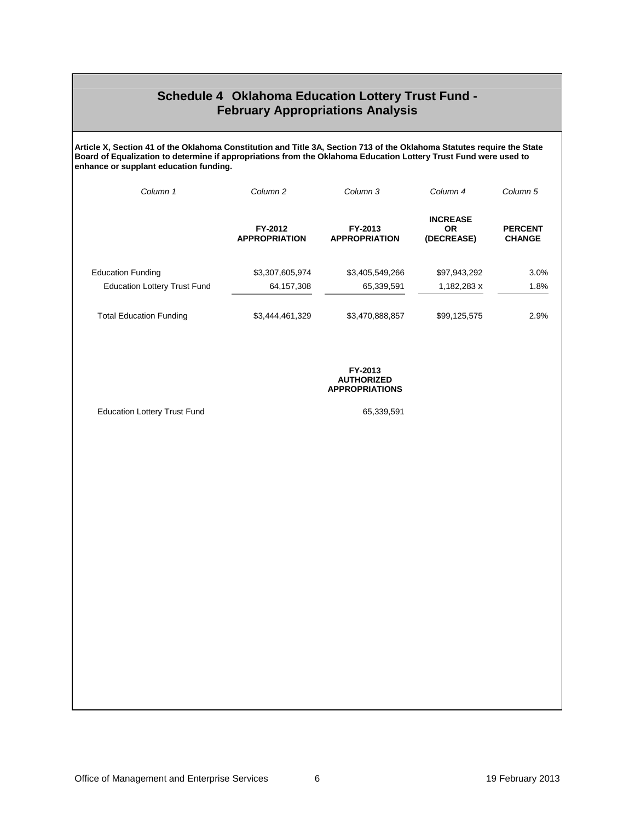#### **Schedule 4 Oklahoma Education Lottery Trust Fund - February Appropriations Analysis**

<span id="page-5-0"></span>**Article X, Section 41 of the Oklahoma Constitution and Title 3A, Section 713 of the Oklahoma Statutes require the State Board of Equalization to determine if appropriations from the Oklahoma Education Lottery Trust Fund were used to enhance or supplant education funding.**

| Column 1                            | Column <sub>2</sub>             | Column 3                        | Column 4                                   | Column 5                        |
|-------------------------------------|---------------------------------|---------------------------------|--------------------------------------------|---------------------------------|
|                                     | FY-2012<br><b>APPROPRIATION</b> | FY-2013<br><b>APPROPRIATION</b> | <b>INCREASE</b><br><b>OR</b><br>(DECREASE) | <b>PERCENT</b><br><b>CHANGE</b> |
| <b>Education Funding</b>            | \$3,307,605,974                 | \$3,405,549,266                 | \$97,943,292                               | 3.0%                            |
| <b>Education Lottery Trust Fund</b> | 64,157,308                      | 65,339,591                      | 1,182,283 x                                | 1.8%                            |
| <b>Total Education Funding</b>      | \$3,444,461,329                 | \$3,470,888,857                 | \$99,125,575                               | 2.9%                            |

**FY-2013 AUTHORIZED APPROPRIATIONS** 

Education Lottery Trust Fund 65,339,591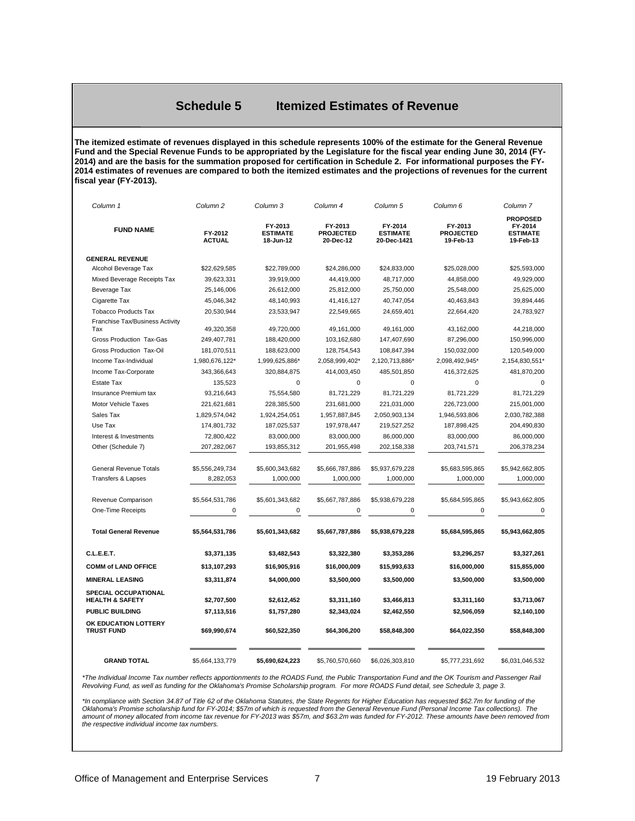#### **Schedule 5 Itemized Estimates of Revenue**

<span id="page-6-0"></span>**The itemized estimate of revenues displayed in this schedule represents 100% of the estimate for the General Revenue Fund and the Special Revenue Funds to be appropriated by the Legislature for the fiscal year ending June 30, 2014 (FY-2014) and are the basis for the summation proposed for certification in Schedule 2. For informational purposes the FY-2014 estimates of revenues are compared to both the itemized estimates and the projections of revenues for the current fiscal year (FY-2013).**

| Column <sub>1</sub>                                | Column <sub>2</sub>      | Column 3                                | Column 4                                 | Column <sub>5</sub>                       | Column <sub>6</sub>                      | Column <sub>7</sub>                                        |
|----------------------------------------------------|--------------------------|-----------------------------------------|------------------------------------------|-------------------------------------------|------------------------------------------|------------------------------------------------------------|
| <b>FUND NAME</b>                                   | FY-2012<br><b>ACTUAL</b> | FY-2013<br><b>ESTIMATE</b><br>18-Jun-12 | FY-2013<br><b>PROJECTED</b><br>20-Dec-12 | FY-2014<br><b>ESTIMATE</b><br>20-Dec-1421 | FY-2013<br><b>PROJECTED</b><br>19-Feb-13 | <b>PROPOSED</b><br>FY-2014<br><b>ESTIMATE</b><br>19-Feb-13 |
| <b>GENERAL REVENUE</b>                             |                          |                                         |                                          |                                           |                                          |                                                            |
| Alcohol Beverage Tax                               | \$22,629,585             | \$22,789,000                            | \$24,286,000                             | \$24,833,000                              | \$25,028,000                             | \$25,593,000                                               |
| Mixed Beverage Receipts Tax                        | 39,623,331               | 39,919,000                              | 44,419,000                               | 48,717,000                                | 44,858,000                               | 49,929,000                                                 |
| Beverage Tax                                       | 25,146,006               | 26,612,000                              | 25,812,000                               | 25,750,000                                | 25,548,000                               | 25,625,000                                                 |
| Cigarette Tax                                      | 45,046,342               | 48,140,993                              | 41,416,127                               | 40,747,054                                | 40,463,843                               | 39,894,446                                                 |
| <b>Tobacco Products Tax</b>                        | 20,530,944               | 23,533,947                              | 22,549,665                               | 24,659,401                                | 22,664,420                               | 24,783,927                                                 |
| Franchise Tax/Business Activity<br>Tax             | 49,320,358               | 49,720,000                              | 49,161,000                               | 49,161,000                                | 43,162,000                               | 44,218,000                                                 |
| Gross Production Tax-Gas                           | 249,407,781              | 188,420,000                             | 103,162,680                              | 147,407,690                               | 87,296,000                               | 150,996,000                                                |
| Gross Production Tax-Oil                           | 181,070,511              | 188,623,000                             | 128,754,543                              | 108,847,394                               | 150,032,000                              | 120,549,000                                                |
| Income Tax-Individual                              | 1,980,676,122*           | 1,999,625,886*                          | 2,058,999,402*                           | 2,120,713,886*                            | 2,098,492,945*                           | 2,154,830,551*                                             |
| Income Tax-Corporate                               | 343,366,643              | 320,884,875                             | 414,003,450                              | 485,501,850                               | 416,372,625                              | 481,870,200                                                |
| <b>Estate Tax</b>                                  | 135,523                  | 0                                       | 0                                        | 0                                         | 0                                        | 0                                                          |
| Insurance Premium tax                              | 93,216,643               | 75,554,580                              | 81,721,229                               | 81,721,229                                | 81,721,229                               | 81,721,229                                                 |
| <b>Motor Vehicle Taxes</b>                         | 221,621,681              | 228,385,500                             | 231,681,000                              | 221,031,000                               | 226,723,000                              | 215,001,000                                                |
| Sales Tax                                          | 1,829,574,042            | 1,924,254,051                           | 1,957,887,845                            | 2,050,903,134                             | 1,946,593,806                            | 2,030,782,388                                              |
| Use Tax                                            | 174,801,732              | 187,025,537                             | 197,978,447                              | 219,527,252                               | 187,898,425                              | 204,490,830                                                |
| Interest & Investments                             | 72,800,422               | 83,000,000                              | 83,000,000                               | 86,000,000                                | 83,000,000                               | 86,000,000                                                 |
| Other (Schedule 7)                                 | 207,282,067              | 193,855,312                             | 201,955,498                              | 202, 158, 338                             | 203,741,571                              | 206,378,234                                                |
| General Revenue Totals                             | \$5,556,249,734          | \$5,600,343,682                         | \$5,666,787,886                          | \$5,937,679,228                           | \$5,683,595,865                          | \$5,942,662,805                                            |
| <b>Transfers &amp; Lapses</b>                      | 8,282,053                | 1,000,000                               | 1,000,000                                | 1,000,000                                 | 1,000,000                                | 1,000,000                                                  |
|                                                    |                          |                                         |                                          |                                           |                                          |                                                            |
| Revenue Comparison                                 | \$5,564,531,786          | \$5,601,343,682                         | \$5,667,787,886                          | \$5,938,679,228                           | \$5,684,595,865                          | \$5,943,662,805                                            |
| One-Time Receipts                                  | 0                        | $\mathbf 0$                             | $\mathbf 0$                              | 0                                         | 0                                        | $\mathbf 0$                                                |
| <b>Total General Revenue</b>                       | \$5,564,531,786          | \$5,601,343,682                         | \$5,667,787,886                          | \$5,938,679,228                           | \$5,684,595,865                          | \$5,943,662,805                                            |
| C.L.E.E.T.                                         | \$3,371,135              | \$3,482,543                             | \$3,322,380                              | \$3,353,286                               | \$3,296,257                              | \$3,327,261                                                |
| <b>COMM of LAND OFFICE</b>                         | \$13,107,293             | \$16,905,916                            | \$16,000,009                             | \$15,993,633                              | \$16,000,000                             | \$15,855,000                                               |
| <b>MINERAL LEASING</b>                             | \$3,311,874              | \$4,000,000                             | \$3,500,000                              | \$3,500,000                               | \$3,500,000                              | \$3,500,000                                                |
| SPECIAL OCCUPATIONAL<br><b>HEALTH &amp; SAFETY</b> | \$2,707,500              | \$2,612,452                             | \$3,311,160                              | \$3,466,813                               | \$3,311,160                              | \$3,713,067                                                |
| PUBLIC BUILDING                                    | \$7,113,516              | \$1,757,280                             | \$2,343,024                              | \$2,462,550                               | \$2,506,059                              | \$2,140,100                                                |
| OK EDUCATION LOTTERY<br><b>TRUST FUND</b>          | \$69,990,674             | \$60,522,350                            | \$64,306,200                             | \$58,848,300                              | \$64,022,350                             | \$58,848,300                                               |
| <b>GRAND TOTAL</b>                                 | \$5,664,133,779          | \$5,690,624,223                         | \$5,760,570,660                          | \$6,026,303,810                           | \$5,777,231,692                          | \$6,031,046,532                                            |

*\*The Individual Income Tax number reflects apportionments to the ROADS Fund, the Public Transportation Fund and the OK Tourism and Passenger Rail Revolving Fund, as well as funding for the Oklahoma's Promise Scholarship program. For more ROADS Fund detail, see Schedule 3, page 3.*

*\*In compliance with Section 34.87 of Title 62 of the Oklahoma Statutes, the State Regents for Higher Education has requested \$62.7m for funding of the Oklahoma's Promise scholarship fund for FY-2014; \$57m of which is requested from the General Revenue Fund (Personal Income Tax collections). The amount of money allocated from income tax revenue for FY-2013 was \$57m, and \$63.2m was funded for FY-2012. These amounts have been removed from the respective individual income tax numbers.*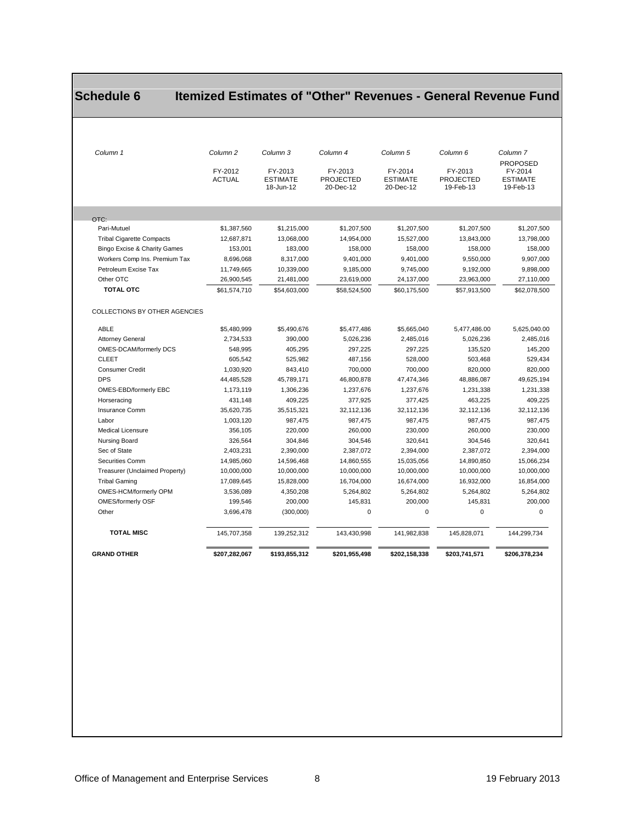### <span id="page-7-0"></span>**Schedule 6 Itemized Estimates of "Other" Revenues - General Revenue Fund**

| Column <sub>1</sub>                  | Column <sub>2</sub><br>FY-2012<br><b>ACTUAL</b> | Column 3<br>FY-2013<br><b>ESTIMATE</b><br>18-Jun-12 | Column 4<br>FY-2013<br><b>PROJECTED</b><br>20-Dec-12 | Column <sub>5</sub><br>FY-2014<br><b>ESTIMATE</b><br>20-Dec-12 | Column <sub>6</sub><br>FY-2013<br><b>PROJECTED</b><br>19-Feb-13 | Column <sub>7</sub><br><b>PROPOSED</b><br>FY-2014<br><b>ESTIMATE</b><br>19-Feb-13 |
|--------------------------------------|-------------------------------------------------|-----------------------------------------------------|------------------------------------------------------|----------------------------------------------------------------|-----------------------------------------------------------------|-----------------------------------------------------------------------------------|
|                                      |                                                 |                                                     |                                                      |                                                                |                                                                 |                                                                                   |
|                                      |                                                 |                                                     |                                                      |                                                                |                                                                 |                                                                                   |
| OTC:                                 |                                                 |                                                     |                                                      |                                                                |                                                                 |                                                                                   |
| Pari-Mutuel                          | \$1,387,560                                     | \$1,215,000                                         | \$1,207,500                                          | \$1,207,500                                                    | \$1,207,500                                                     | \$1,207,500                                                                       |
| <b>Tribal Cigarette Compacts</b>     | 12,687,871                                      | 13,068,000                                          | 14,954,000                                           | 15,527,000                                                     | 13,843,000                                                      | 13,798,000                                                                        |
| Bingo Excise & Charity Games         | 153,001                                         | 183,000                                             | 158,000                                              | 158,000                                                        | 158,000                                                         | 158,000                                                                           |
| Workers Comp Ins. Premium Tax        | 8,696,068                                       | 8,317,000                                           | 9,401,000                                            | 9,401,000                                                      | 9,550,000                                                       | 9,907,000                                                                         |
| Petroleum Excise Tax                 | 11,749,665                                      | 10,339,000                                          | 9.185.000                                            | 9.745.000                                                      | 9.192.000                                                       | 9.898.000                                                                         |
| Other OTC                            | 26,900,545                                      | 21,481,000                                          | 23,619,000                                           | 24,137,000                                                     | 23.963.000                                                      | 27,110,000                                                                        |
| <b>TOTAL OTC</b>                     | \$61,574,710                                    | \$54,603,000                                        | \$58,524,500                                         | \$60,175,500                                                   | \$57,913,500                                                    | \$62,078,500                                                                      |
| <b>COLLECTIONS BY OTHER AGENCIES</b> |                                                 |                                                     |                                                      |                                                                |                                                                 |                                                                                   |
| ABLE                                 | \$5,480,999                                     | \$5,490,676                                         | \$5,477,486                                          | \$5,665,040                                                    | 5,477,486.00                                                    | 5,625,040.00                                                                      |
| <b>Attorney General</b>              | 2,734,533                                       | 390,000                                             | 5,026,236                                            | 2,485,016                                                      | 5,026,236                                                       | 2,485,016                                                                         |
| OMES-DCAM/formerly DCS               | 548,995                                         | 405,295                                             | 297,225                                              | 297,225                                                        | 135.520                                                         | 145,200                                                                           |
| <b>CLEET</b>                         | 605,542                                         | 525,982                                             | 487,156                                              | 528,000                                                        | 503,468                                                         | 529,434                                                                           |
| <b>Consumer Credit</b>               | 1,030,920                                       | 843,410                                             | 700,000                                              | 700,000                                                        | 820,000                                                         | 820,000                                                                           |
| <b>DPS</b>                           | 44,485,528                                      | 45,789,171                                          | 46,800,878                                           | 47,474,346                                                     | 48,886,087                                                      | 49,625,194                                                                        |
| OMES-EBD/formerly EBC                | 1,173,119                                       | 1,306,236                                           | 1,237,676                                            | 1,237,676                                                      | 1,231,338                                                       | 1,231,338                                                                         |
| Horseracing                          | 431,148                                         | 409,225                                             | 377,925                                              | 377,425                                                        | 463,225                                                         | 409,225                                                                           |
| Insurance Comm                       | 35.620.735                                      | 35.515.321                                          | 32.112.136                                           | 32.112.136                                                     | 32.112.136                                                      | 32.112.136                                                                        |
| Labor                                | 1,003,120                                       | 987,475                                             | 987,475                                              | 987,475                                                        | 987.475                                                         | 987,475                                                                           |
| <b>Medical Licensure</b>             | 356,105                                         | 220,000                                             | 260,000                                              | 230,000                                                        | 260,000                                                         | 230,000                                                                           |
| Nursing Board                        | 326,564                                         | 304,846                                             | 304,546                                              | 320,641                                                        | 304,546                                                         | 320,641                                                                           |
| Sec of State                         | 2,403,231                                       | 2,390,000                                           | 2,387,072                                            | 2,394,000                                                      | 2,387,072                                                       | 2,394,000                                                                         |
| Securities Comm                      | 14,985,060                                      | 14,596,468                                          | 14,860,555                                           | 15,035,056                                                     | 14,890,850                                                      | 15,066,234                                                                        |
| Treasurer (Unclaimed Property)       | 10,000,000                                      | 10,000,000                                          | 10,000,000                                           | 10,000,000                                                     | 10,000,000                                                      | 10,000,000                                                                        |
| <b>Tribal Gaming</b>                 | 17,089,645                                      | 15,828,000                                          | 16,704,000                                           | 16,674,000                                                     | 16,932,000                                                      | 16,854,000                                                                        |
| OMES-HCM/formerly OPM                | 3,536,089                                       | 4,350,208                                           | 5,264,802                                            | 5,264,802                                                      | 5,264,802                                                       | 5,264,802                                                                         |
| OMES/formerly OSF                    | 199,546                                         | 200,000                                             | 145,831                                              | 200,000                                                        | 145,831                                                         | 200,000                                                                           |
| Other                                | 3,696,478                                       | (300,000)                                           | 0                                                    | 0                                                              | 0                                                               | $\mathbf 0$                                                                       |
| <b>TOTAL MISC</b>                    | 145,707,358                                     | 139,252,312                                         | 143,430,998                                          | 141,982,838                                                    | 145,828,071                                                     | 144,299,734                                                                       |
| <b>GRAND OTHER</b>                   | \$207,282,067                                   | \$193,855,312                                       | \$201,955,498                                        | \$202,158,338                                                  | \$203,741,571                                                   | \$206,378,234                                                                     |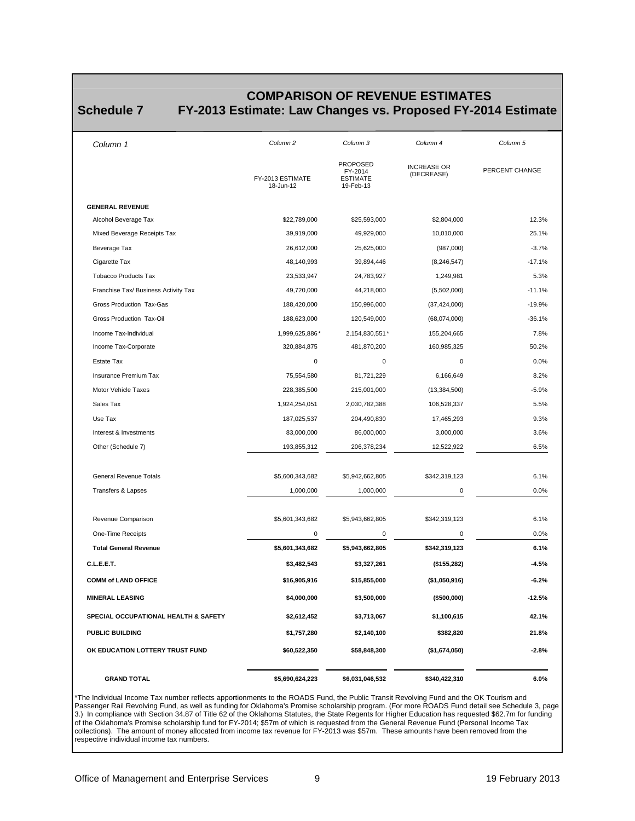# **COMPARISON OF REVENUE ESTIMATES**<br> **COMPARISON OF REVENUE ESTIMATES**<br> **FY-2013** Estimate: Law Changes vs. Proposed FY-2015

<span id="page-8-0"></span>

#### **Schedule 7 FY-2013 Estimate: Law Changes vs. Proposed FY-2014 Estimate**

| Column 1                             | Column <sub>2</sub>           | Column 3                                                   | Column 4                         | Column 5       |
|--------------------------------------|-------------------------------|------------------------------------------------------------|----------------------------------|----------------|
|                                      | FY-2013 ESTIMATE<br>18-Jun-12 | <b>PROPOSED</b><br>FY-2014<br><b>ESTIMATE</b><br>19-Feb-13 | <b>INCREASE OR</b><br>(DECREASE) | PERCENT CHANGE |
| <b>GENERAL REVENUE</b>               |                               |                                                            |                                  |                |
| Alcohol Beverage Tax                 | \$22,789,000                  | \$25,593,000                                               | \$2,804,000                      | 12.3%          |
| Mixed Beverage Receipts Tax          | 39,919,000                    | 49,929,000                                                 | 10,010,000                       | 25.1%          |
| Beverage Tax                         | 26,612,000                    | 25,625,000                                                 | (987,000)                        | $-3.7%$        |
| Cigarette Tax                        | 48,140,993                    | 39,894,446                                                 | (8, 246, 547)                    | $-17.1%$       |
| <b>Tobacco Products Tax</b>          | 23,533,947                    | 24,783,927                                                 | 1,249,981                        | 5.3%           |
| Franchise Tax/ Business Activity Tax | 49,720,000                    | 44,218,000                                                 | (5,502,000)                      | $-11.1%$       |
| Gross Production Tax-Gas             | 188,420,000                   | 150,996,000                                                | (37, 424, 000)                   | $-19.9%$       |
| Gross Production Tax-Oil             | 188,623,000                   | 120,549,000                                                | (68,074,000)                     | $-36.1%$       |
| Income Tax-Individual                | 1,999,625,886*                | 2,154,830,551*                                             | 155,204,665                      | 7.8%           |
| Income Tax-Corporate                 | 320,884,875                   | 481,870,200                                                | 160,985,325                      | 50.2%          |
| Estate Tax                           | $\mathbf 0$                   | $\mathbf 0$                                                | $\mathbf 0$                      | 0.0%           |
| Insurance Premium Tax                | 75,554,580                    | 81,721,229                                                 | 6,166,649                        | 8.2%           |
| Motor Vehicle Taxes                  | 228,385,500                   | 215,001,000                                                | (13, 384, 500)                   | $-5.9%$        |
| Sales Tax                            | 1,924,254,051                 | 2,030,782,388                                              | 106,528,337                      | 5.5%           |
| Use Tax                              | 187,025,537                   | 204,490,830                                                | 17,465,293                       | 9.3%           |
| Interest & Investments               | 83,000,000                    | 86,000,000                                                 | 3,000,000                        | 3.6%           |
| Other (Schedule 7)                   | 193,855,312                   | 206,378,234                                                | 12,522,922                       | 6.5%           |
| General Revenue Totals               | \$5,600,343,682               | \$5,942,662,805                                            | \$342,319,123                    | 6.1%           |
| Transfers & Lapses                   | 1,000,000                     | 1,000,000                                                  | 0                                | 0.0%           |
| Revenue Comparison                   | \$5,601,343,682               | \$5,943,662,805                                            | \$342,319,123                    | 6.1%           |
| One-Time Receipts                    | $\mathbf 0$                   | $\mathbf 0$                                                | 0                                | 0.0%           |
| <b>Total General Revenue</b>         | \$5,601,343,682               | \$5,943,662,805                                            | \$342,319,123                    | 6.1%           |
| C.L.E.E.T.                           | \$3,482,543                   | \$3,327,261                                                | $($ \$155,282)                   | $-4.5%$        |
| <b>COMM of LAND OFFICE</b>           | \$16,905,916                  | \$15,855,000                                               | (\$1,050,916)                    | $-6.2%$        |
| <b>MINERAL LEASING</b>               | \$4,000,000                   | \$3,500,000                                                | (\$500,000)                      | -12.5%         |
| SPECIAL OCCUPATIONAL HEALTH & SAFETY | \$2,612,452                   | \$3,713,067                                                | \$1,100,615                      | 42.1%          |
| <b>PUBLIC BUILDING</b>               | \$1,757,280                   | \$2,140,100                                                | \$382,820                        | 21.8%          |
| OK EDUCATION LOTTERY TRUST FUND      | \$60,522,350                  | \$58,848,300                                               | (\$1,674,050)                    | $-2.8%$        |
| <b>GRAND TOTAL</b>                   | \$5,690,624,223               | \$6,031,046,532                                            | \$340,422,310                    | 6.0%           |

\*The Individual Income Tax number reflects apportionments to the ROADS Fund, the Public Transit Revolving Fund and the OK Tourism and Passenger Rail Revolving Fund, as well as funding for Oklahoma's Promise scholarship program. (For more ROADS Fund detail see Schedule 3, page 3.) In compliance with Section 34.87 of Title 62 of the Oklahoma Statutes, the State Regents for Higher Education has requested \$62.7m for funding of the Oklahoma's Promise scholarship fund for FY-2014; \$57m of which is requested from the General Revenue Fund (Personal Income Tax collections). The amount of money allocated from income tax revenue for FY-2013 was \$57m. These amounts have been removed from the respective individual income tax numbers.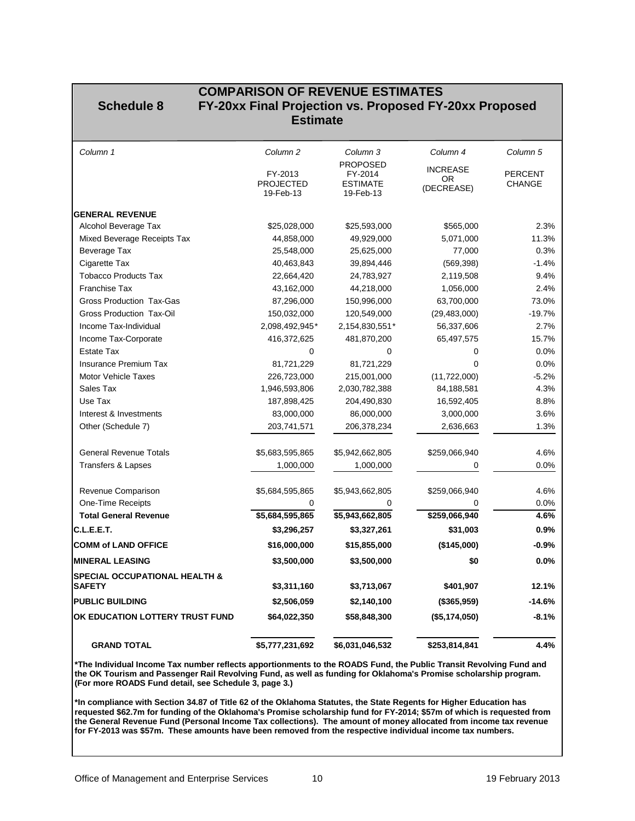#### <span id="page-9-0"></span> **COMPARISON OF REVENUE ESTIMATES Schedule 8 FY-20xx Final Projection vs. Proposed FY-20xx Proposed Estimate**

| Column 1                                                  | Column <sub>2</sub>         | Column 3                   | Column 4        | Column <sub>5</sub>             |
|-----------------------------------------------------------|-----------------------------|----------------------------|-----------------|---------------------------------|
|                                                           |                             | <b>PROPOSED</b>            | <b>INCREASE</b> |                                 |
|                                                           | FY-2013<br><b>PROJECTED</b> | FY-2014<br><b>ESTIMATE</b> | OR.             | <b>PERCENT</b><br><b>CHANGE</b> |
|                                                           | 19-Feb-13                   | 19-Feb-13                  | (DECREASE)      |                                 |
| <b>GENERAL REVENUE</b>                                    |                             |                            |                 |                                 |
| Alcohol Beverage Tax                                      | \$25,028,000                | \$25,593,000               | \$565,000       | 2.3%                            |
| Mixed Beverage Receipts Tax                               | 44,858,000                  | 49,929,000                 | 5,071,000       | 11.3%                           |
| Beverage Tax                                              | 25,548,000                  | 25,625,000                 | 77,000          | 0.3%                            |
| Cigarette Tax                                             | 40,463,843                  | 39,894,446                 | (569, 398)      | $-1.4%$                         |
| <b>Tobacco Products Tax</b>                               | 22,664,420                  | 24,783,927                 | 2,119,508       | 9.4%                            |
| <b>Franchise Tax</b>                                      | 43,162,000                  | 44,218,000                 | 1,056,000       | 2.4%                            |
| <b>Gross Production Tax-Gas</b>                           | 87,296,000                  | 150,996,000                | 63,700,000      | 73.0%                           |
| Gross Production Tax-Oil                                  | 150,032,000                 | 120,549,000                | (29, 483, 000)  | $-19.7%$                        |
| Income Tax-Individual                                     | 2,098,492,945*              | 2,154,830,551*             | 56,337,606      | 2.7%                            |
| Income Tax-Corporate                                      | 416,372,625                 | 481,870,200                | 65,497,575      | 15.7%                           |
| <b>Estate Tax</b>                                         | 0                           | 0                          | 0               | 0.0%                            |
| <b>Insurance Premium Tax</b>                              | 81,721,229                  | 81,721,229                 | $\mathbf 0$     | 0.0%                            |
| <b>Motor Vehicle Taxes</b>                                | 226,723,000                 | 215,001,000                | (11, 722, 000)  | $-5.2%$                         |
| Sales Tax                                                 | 1,946,593,806               | 2,030,782,388              | 84,188,581      | 4.3%                            |
| Use Tax                                                   | 187,898,425                 | 204,490,830                | 16,592,405      | 8.8%                            |
| Interest & Investments                                    | 83,000,000                  | 86,000,000                 | 3,000,000       | 3.6%                            |
| Other (Schedule 7)                                        | 203,741,571                 | 206,378,234                | 2,636,663       | 1.3%                            |
| <b>General Revenue Totals</b>                             | \$5,683,595,865             | \$5,942,662,805            | \$259,066,940   | 4.6%                            |
| <b>Transfers &amp; Lapses</b>                             | 1,000,000                   | 1,000,000                  | 0               | 0.0%                            |
| Revenue Comparison                                        | \$5,684,595,865             | \$5,943,662,805            | \$259,066,940   | 4.6%                            |
| One-Time Receipts                                         | 0                           | 0                          | 0               | 0.0%                            |
| <b>Total General Revenue</b>                              | \$5,684,595,865             | \$5,943,662,805            | \$259,066,940   | 4.6%                            |
| C.L.E.E.T.                                                | \$3,296,257                 | \$3,327,261                | \$31,003        | 0.9%                            |
| <b>COMM of LAND OFFICE</b>                                | \$16,000,000                | \$15,855,000               | (\$145,000)     | $-0.9%$                         |
| <b>MINERAL LEASING</b>                                    | \$3,500,000                 | \$3,500,000                | \$0             | 0.0%                            |
| <b>SPECIAL OCCUPATIONAL HEALTH &amp;</b><br><b>SAFETY</b> | \$3,311,160                 | \$3,713,067                | \$401,907       | 12.1%                           |
| <b>PUBLIC BUILDING</b>                                    | \$2,506,059                 | \$2,140,100                | (\$365,959)     | $-14.6%$                        |
| OK EDUCATION LOTTERY TRUST FUND                           | \$64,022,350                | \$58,848,300               | (\$5,174,050)   | $-8.1%$                         |
| <b>GRAND TOTAL</b>                                        | \$5,777,231,692             | \$6,031,046,532            | \$253,814,841   | 4.4%                            |

**\*The Individual Income Tax number reflects apportionments to the ROADS Fund, the Public Transit Revolving Fund and the OK Tourism and Passenger Rail Revolving Fund, as well as funding for Oklahoma's Promise scholarship program. (For more ROADS Fund detail, see Schedule 3, page 3.)**

**\*In compliance with Section 34.87 of Title 62 of the Oklahoma Statutes, the State Regents for Higher Education has requested \$62.7m for funding of the Oklahoma's Promise scholarship fund for FY-2014; \$57m of which is requested from the General Revenue Fund (Personal Income Tax collections). The amount of money allocated from income tax revenue for FY-2013 was \$57m. These amounts have been removed from the respective individual income tax numbers.**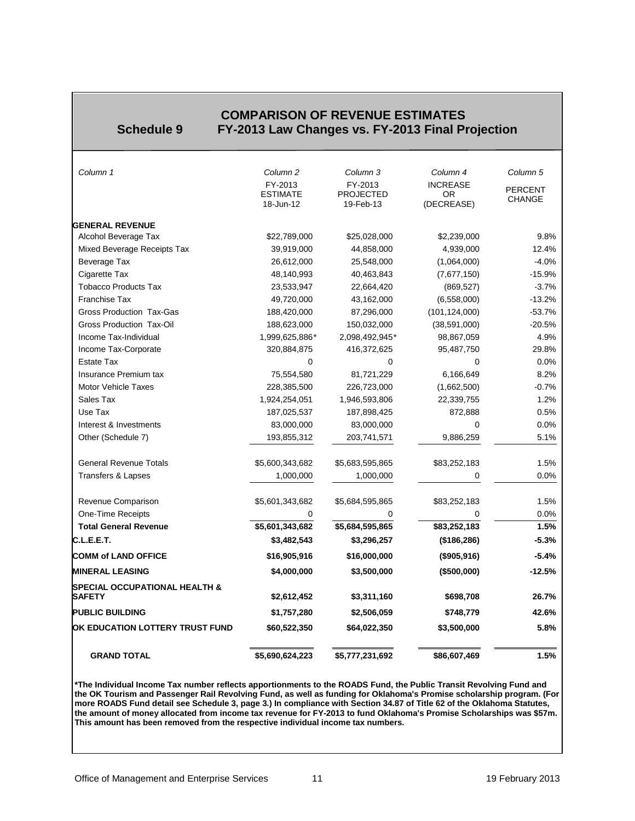#### **COMPARISON OF REVENUE ESTIMATES**<br>**FY-2013 Law Changes vs. FY-2013 Final Property Schedule 9 FY-2013 Law Changes vs. FY-2013 Final Projection**

<span id="page-10-0"></span>

| <b>GRAND TOTAL</b>                                        | \$5,690,624,223              | \$5,777,231,692               | \$86,607,469            | 1.5%           |
|-----------------------------------------------------------|------------------------------|-------------------------------|-------------------------|----------------|
| OK EDUCATION LOTTERY TRUST FUND                           | \$60,522,350                 | \$64,022,350                  | \$3,500,000             | 5.8%           |
| <b>PUBLIC BUILDING</b>                                    | \$1,757,280                  | \$2,506,059                   | \$748,779               | 42.6%          |
| <b>SPECIAL OCCUPATIONAL HEALTH &amp;</b><br><b>SAFETY</b> | \$2,612,452                  | \$3,311,160                   | \$698,708               | 26.7%          |
| <b>MINERAL LEASING</b>                                    | \$4,000,000                  | \$3,500,000                   | (\$500,000)             | $-12.5%$       |
| <b>COMM of LAND OFFICE</b>                                | \$16,905,916                 | \$16,000,000                  | (\$905,916)             | $-5.4%$        |
|                                                           |                              |                               |                         |                |
| C.L.E.E.T.                                                | \$3,482,543                  | \$3,296,257                   | (\$186, 286)            | $-5.3%$        |
| <b>Total General Revenue</b>                              | \$5,601,343,682              | \$5,684,595,865               | \$83,252,183            | 1.5%           |
| <b>One-Time Receipts</b>                                  | 0                            | 0                             | 0                       | $0.0\%$        |
| Revenue Comparison                                        | \$5,601,343,682              | \$5,684,595,865               | \$83,252,183            | 1.5%           |
| <b>Transfers &amp; Lapses</b>                             | 1,000,000                    | 1,000,000                     | 0                       | 0.0%           |
| <b>General Revenue Totals</b>                             | \$5,600,343,682              | \$5,683,595,865               | \$83,252,183            | 1.5%           |
| Other (Schedule 7)                                        | 193,855,312                  | 203,741,571                   | 9,886,259               | 5.1%           |
| Interest & Investments                                    | 83,000,000                   | 83,000,000                    | 0                       | 0.0%           |
| Use Tax                                                   | 187,025,537                  | 187,898,425                   | 872,888                 | 0.5%           |
| Sales Tax                                                 | 1,924,254,051                | 1,946,593,806                 | 22,339,755              | 1.2%           |
| <b>Motor Vehicle Taxes</b>                                | 228,385,500                  | 226,723,000                   | (1,662,500)             | $-0.7%$        |
| Insurance Premium tax                                     | 75,554,580                   | 81,721,229                    | 6,166,649               | 8.2%           |
| <b>Estate Tax</b>                                         | 0                            | 0                             | 0                       | 0.0%           |
| Income Tax-Corporate                                      | 320,884,875                  | 416,372,625                   | 95,487,750              | 29.8%          |
| Income Tax-Individual                                     | 1,999,625,886*               | 2,098,492,945*                | 98,867,059              | 4.9%           |
| <b>Gross Production Tax-Oil</b>                           | 188,623,000                  | 150,032,000                   | (38, 591, 000)          | $-20.5%$       |
| <b>Gross Production Tax-Gas</b>                           | 188,420,000                  | 87,296,000                    | (101, 124, 000)         | $-53.7%$       |
| <b>Franchise Tax</b>                                      | 49,720,000                   | 43,162,000                    | (6,558,000)             | $-13.2%$       |
| <b>Tobacco Products Tax</b>                               | 23,533,947                   | 22,664,420                    | (869, 527)              | $-3.7%$        |
| Cigarette Tax                                             | 48,140,993                   | 40,463,843                    | (7,677,150)             | $-15.9%$       |
| Beverage Tax                                              | 26,612,000                   | 25,548,000                    | (1,064,000)             | $-4.0%$        |
| Mixed Beverage Receipts Tax                               | 39,919,000                   | 44,858,000                    | 4,939,000               | 12.4%          |
| <b>GENERAL REVENUE</b><br>Alcohol Beverage Tax            | \$22,789,000                 | \$25,028,000                  | \$2,239,000             | 9.8%           |
|                                                           | <b>ESTIMATE</b><br>18-Jun-12 | <b>PROJECTED</b><br>19-Feb-13 | <b>OR</b><br>(DECREASE) | <b>CHANGE</b>  |
|                                                           | FY-2013                      | FY-2013                       | <b>INCREASE</b>         | <b>PERCENT</b> |
| Column 1                                                  | Column <sub>2</sub>          | Column 3                      | Column 4                | Column 5       |

**\*The Individual Income Tax number reflects apportionments to the ROADS Fund, the Public Transit Revolving Fund and the OK Tourism and Passenger Rail Revolving Fund, as well as funding for Oklahoma's Promise scholarship program. (For more ROADS Fund detail see Schedule 3, page 3.) In compliance with Section 34.87 of Title 62 of the Oklahoma Statutes, the amount of money allocated from income tax revenue for FY-2013 to fund Oklahoma's Promise Scholarships was \$57m. This amount has been removed from the respective individual income tax numbers.**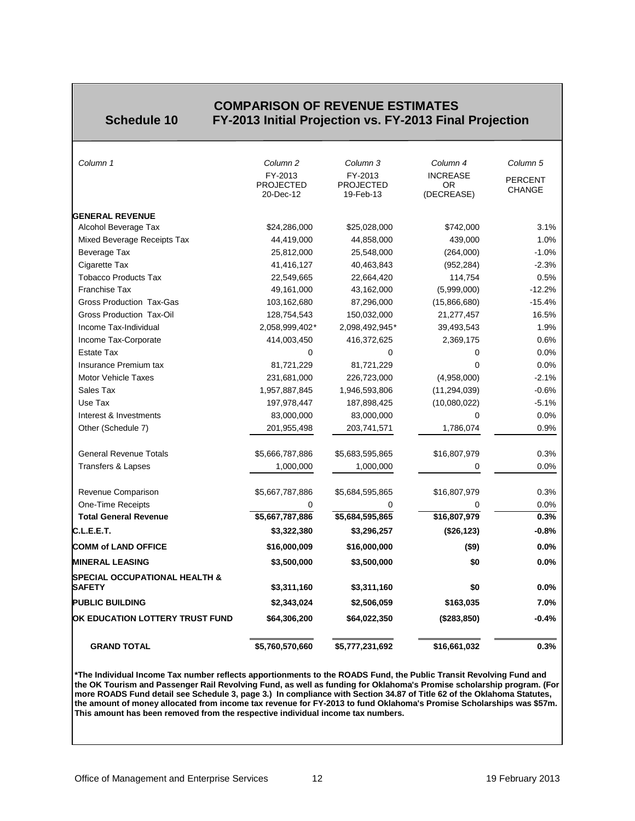<span id="page-11-0"></span>

#### **COMPARISON OF REVENUE ESTIMATES**<br>Schedule 10 FY-2013 Initial Projection vs. FY-2013 Fina **Schedule 10 FY-2013 Initial Projection vs. FY-2013 Final Projection**

| <b>GRAND TOTAL</b>                                        | \$5,760,570,660                          | \$5,777,231,692                          | \$16,661,032                        | 0.3%                            |
|-----------------------------------------------------------|------------------------------------------|------------------------------------------|-------------------------------------|---------------------------------|
| OK EDUCATION LOTTERY TRUST FUND                           | \$64,306,200                             | \$64,022,350                             | (\$283, 850)                        | $-0.4%$                         |
| <b>PUBLIC BUILDING</b>                                    | \$2,343,024                              | \$2,506,059                              | \$163,035                           | 7.0%                            |
| <b>SPECIAL OCCUPATIONAL HEALTH &amp;</b><br><b>SAFETY</b> | \$3,311,160                              | \$3,311,160                              | \$0                                 | 0.0%                            |
| <b>MINERAL LEASING</b>                                    | \$3,500,000                              | \$3,500,000                              | \$0                                 | 0.0%                            |
| <b>COMM of LAND OFFICE</b>                                | \$16,000,009                             | \$16,000,000                             | (\$9)                               | 0.0%                            |
|                                                           |                                          |                                          |                                     |                                 |
| C.L.E.E.T.                                                | \$3,322,380                              | \$3,296,257                              | (\$26, 123)                         | $-0.8%$                         |
| <b>Total General Revenue</b>                              | \$5,667,787,886                          | \$5,684,595,865                          | \$16,807,979                        | 0.3%                            |
| One-Time Receipts                                         | 0                                        | 0                                        | 0                                   | 0.0%                            |
| Revenue Comparison                                        | \$5,667,787,886                          | \$5,684,595,865                          | \$16,807,979                        | 0.3%                            |
| <b>Transfers &amp; Lapses</b>                             | 1,000,000                                | 1,000,000                                | 0                                   | 0.0%                            |
| <b>General Revenue Totals</b>                             | \$5,666,787,886                          | \$5,683,595,865                          | \$16,807,979                        | 0.3%                            |
| Other (Schedule 7)                                        | 201,955,498                              | 203,741,571                              | 1,786,074                           | 0.9%                            |
| Interest & Investments                                    | 83,000,000                               | 83,000,000                               | $\Omega$                            | 0.0%                            |
| Use Tax                                                   | 197,978,447                              | 187,898,425                              | (10,080,022)                        | $-5.1%$                         |
| Sales Tax                                                 | 1,957,887,845                            | 1,946,593,806                            | (11, 294, 039)                      | $-0.6%$                         |
| <b>Motor Vehicle Taxes</b>                                | 231,681,000                              | 226,723,000                              | (4,958,000)                         | $-2.1%$                         |
| Insurance Premium tax                                     | 81,721,229                               | 81,721,229                               | $\Omega$                            | 0.0%                            |
| <b>Estate Tax</b>                                         | 0                                        | $\mathbf 0$                              | 0                                   | 0.0%                            |
| Income Tax-Corporate                                      | 414,003,450                              | 416,372,625                              | 2,369,175                           | 0.6%                            |
| Income Tax-Individual                                     | 2,058,999,402*                           | 2,098,492,945*                           | 39,493,543                          | 1.9%                            |
| Gross Production Tax-Oil                                  | 128,754,543                              | 150,032,000                              | 21,277,457                          | 16.5%                           |
| Gross Production Tax-Gas                                  | 103,162,680                              | 87,296,000                               | (15,866,680)                        | $-15.4%$                        |
| <b>Franchise Tax</b>                                      | 49,161,000                               | 43,162,000                               | (5,999,000)                         | $-12.2%$                        |
| <b>Tobacco Products Tax</b>                               | 22,549,665                               | 22,664,420                               | 114,754                             | 0.5%                            |
| Cigarette Tax                                             | 41,416,127                               | 40,463,843                               | (952, 284)                          | $-2.3%$                         |
| Beverage Tax                                              | 25,812,000                               | 25,548,000                               | (264,000)                           | $-1.0%$                         |
| Mixed Beverage Receipts Tax                               | 44,419,000                               | 44,858,000                               | 439,000                             | 1.0%                            |
| <b>GENERAL REVENUE</b><br>Alcohol Beverage Tax            | \$24,286,000                             | \$25,028,000                             | \$742,000                           | 3.1%                            |
|                                                           | FY-2013<br><b>PROJECTED</b><br>20-Dec-12 | FY-2013<br><b>PROJECTED</b><br>19-Feb-13 | <b>INCREASE</b><br>0R<br>(DECREASE) | <b>PERCENT</b><br><b>CHANGE</b> |
|                                                           |                                          |                                          |                                     |                                 |

**\*The Individual Income Tax number reflects apportionments to the ROADS Fund, the Public Transit Revolving Fund and the OK Tourism and Passenger Rail Revolving Fund, as well as funding for Oklahoma's Promise scholarship program. (For more ROADS Fund detail see Schedule 3, page 3.) In compliance with Section 34.87 of Title 62 of the Oklahoma Statutes, the amount of money allocated from income tax revenue for FY-2013 to fund Oklahoma's Promise Scholarships was \$57m. This amount has been removed from the respective individual income tax numbers.**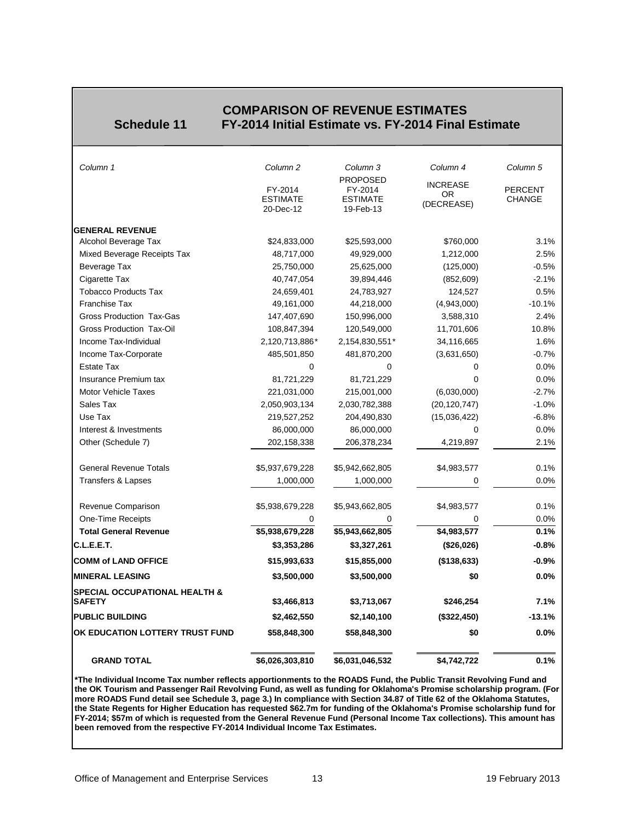#### **COMPARISON OF REVENUE ESTIMATES**<br>**Schedule 11** FY-2014 Initial Estimate vs. FY-2014 Final **Schedule 11 FY-2014 Initial Estimate vs. FY-2014 Final Estimate**

<span id="page-12-0"></span>

| Column 1                                                  | Column <sub>2</sub>                     | Column 3<br><b>PROPOSED</b>             | Column 4                                   | Column <sub>5</sub>             |
|-----------------------------------------------------------|-----------------------------------------|-----------------------------------------|--------------------------------------------|---------------------------------|
|                                                           | FY-2014<br><b>ESTIMATE</b><br>20-Dec-12 | FY-2014<br><b>ESTIMATE</b><br>19-Feb-13 | <b>INCREASE</b><br><b>OR</b><br>(DECREASE) | <b>PERCENT</b><br><b>CHANGE</b> |
|                                                           |                                         |                                         |                                            |                                 |
| <b>GENERAL REVENUE</b>                                    |                                         |                                         |                                            |                                 |
| Alcohol Beverage Tax                                      | \$24,833,000                            | \$25,593,000                            | \$760,000                                  | 3.1%                            |
| Mixed Beverage Receipts Tax                               | 48,717,000                              | 49,929,000                              | 1,212,000                                  | 2.5%                            |
| Beverage Tax                                              | 25,750,000                              | 25,625,000                              | (125,000)                                  | $-0.5%$                         |
| Cigarette Tax                                             | 40,747,054                              | 39,894,446                              | (852, 609)                                 | $-2.1%$                         |
| <b>Tobacco Products Tax</b>                               | 24,659,401                              | 24,783,927                              | 124,527                                    | 0.5%                            |
| <b>Franchise Tax</b>                                      | 49,161,000                              | 44,218,000                              | (4,943,000)                                | $-10.1%$                        |
| <b>Gross Production Tax-Gas</b>                           | 147,407,690                             | 150,996,000                             | 3,588,310                                  | 2.4%                            |
| <b>Gross Production Tax-Oil</b>                           | 108,847,394                             | 120,549,000                             | 11,701,606                                 | 10.8%                           |
| Income Tax-Individual                                     | 2,120,713,886*                          | 2,154,830,551*                          | 34,116,665                                 | 1.6%                            |
| Income Tax-Corporate                                      | 485,501,850                             | 481,870,200                             | (3,631,650)                                | $-0.7%$                         |
| <b>Estate Tax</b>                                         | 0                                       | 0                                       | 0                                          | 0.0%                            |
| Insurance Premium tax                                     | 81,721,229                              | 81,721,229                              | $\Omega$                                   | 0.0%                            |
| <b>Motor Vehicle Taxes</b>                                | 221,031,000                             | 215,001,000                             | (6,030,000)                                | $-2.7%$                         |
| Sales Tax                                                 | 2,050,903,134                           | 2,030,782,388                           | (20, 120, 747)                             | $-1.0%$                         |
| Use Tax                                                   | 219,527,252                             | 204,490,830                             | (15,036,422)                               | $-6.8%$                         |
| Interest & Investments                                    | 86,000,000                              | 86,000,000                              | 0                                          | 0.0%                            |
| Other (Schedule 7)                                        | 202,158,338                             | 206,378,234                             | 4,219,897                                  | 2.1%                            |
| <b>General Revenue Totals</b>                             | \$5,937,679,228                         | \$5,942,662,805                         | \$4,983,577                                | 0.1%                            |
| Transfers & Lapses                                        | 1,000,000                               | 1,000,000                               | 0                                          | 0.0%                            |
| Revenue Comparison                                        | \$5,938,679,228                         | \$5,943,662,805                         | \$4,983,577                                | 0.1%                            |
| One-Time Receipts                                         | 0                                       |                                         | 0                                          | 0.0%                            |
| <b>Total General Revenue</b>                              | \$5,938,679,228                         | \$5,943,662,805                         | \$4,983,577                                | 0.1%                            |
| C.L.E.E.T.                                                | \$3,353,286                             | \$3,327,261                             | (\$26,026)                                 | $-0.8%$                         |
| <b>COMM of LAND OFFICE</b>                                | \$15,993,633                            | \$15,855,000                            | (\$138,633)                                | $-0.9%$                         |
| <b>MINERAL LEASING</b>                                    | \$3,500,000                             | \$3,500,000                             | \$0                                        | 0.0%                            |
| <b>SPECIAL OCCUPATIONAL HEALTH &amp;</b><br><b>SAFETY</b> | \$3,466,813                             | \$3,713,067                             | \$246,254                                  | 7.1%                            |
| <b>PUBLIC BUILDING</b>                                    | \$2,462,550                             | \$2,140,100                             | (\$322,450)                                | $-13.1%$                        |
| OK EDUCATION LOTTERY TRUST FUND                           | \$58,848,300                            | \$58,848,300                            | \$0                                        | 0.0%                            |
| <b>GRAND TOTAL</b>                                        | \$6,026,303,810                         | \$6,031,046,532                         | \$4,742,722                                | 0.1%                            |

**\*The Individual Income Tax number reflects apportionments to the ROADS Fund, the Public Transit Revolving Fund and the OK Tourism and Passenger Rail Revolving Fund, as well as funding for Oklahoma's Promise scholarship program. (For more ROADS Fund detail see Schedule 3, page 3.) In compliance with Section 34.87 of Title 62 of the Oklahoma Statutes, the State Regents for Higher Education has requested \$62.7m for funding of the Oklahoma's Promise scholarship fund for FY-2014; \$57m of which is requested from the General Revenue Fund (Personal Income Tax collections). This amount has been removed from the respective FY-2014 Individual Income Tax Estimates.**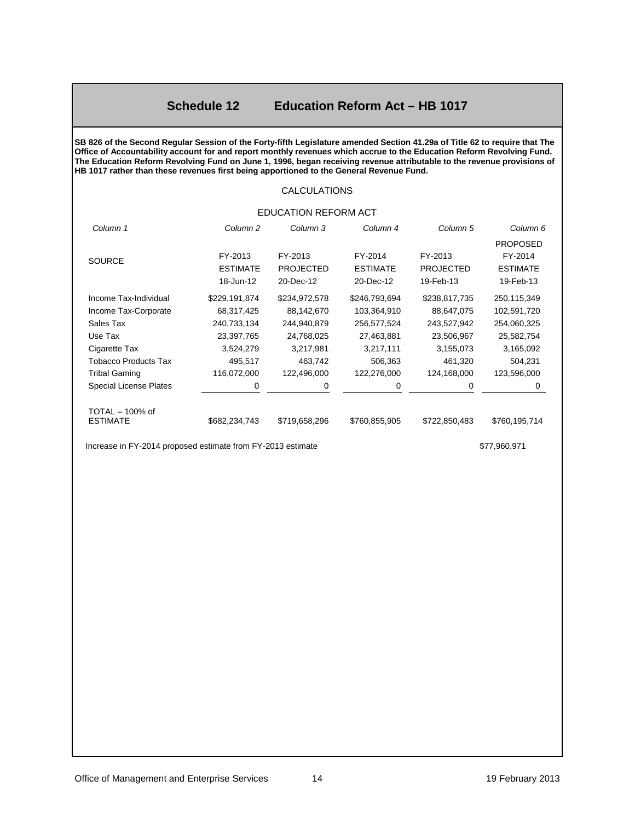#### **Schedule 12 Education Reform Act – HB 1017**

<span id="page-13-0"></span>**SB 826 of the Second Regular Session of the Forty-fifth Legislature amended Section 41.29a of Title 62 to require that The Office of Accountability account for and report monthly revenues which accrue to the Education Reform Revolving Fund. The Education Reform Revolving Fund on June 1, 1996, began receiving revenue attributable to the revenue provisions of HB 1017 rather than these revenues first being apportioned to the General Revenue Fund.**

#### CALCULATIONS

#### EDUCATION REFORM ACT

| Column <sub>2</sub> | Column 3         | Column 4        | Column 5         | Column 6        |
|---------------------|------------------|-----------------|------------------|-----------------|
|                     |                  |                 |                  | <b>PROPOSED</b> |
| FY-2013             | FY-2013          | FY-2014         | FY-2013          | FY-2014         |
| <b>ESTIMATE</b>     | <b>PROJECTED</b> | <b>ESTIMATE</b> | <b>PROJECTED</b> | <b>ESTIMATE</b> |
| 18-Jun-12           | 20-Dec-12        | 20-Dec-12       | 19-Feb-13        | 19-Feb-13       |
| \$229,191,874       | \$234,972,578    | \$246,793,694   | \$238,817,735    | 250,115,349     |
| 68,317,425          | 88,142,670       | 103,364,910     | 88,647,075       | 102,591,720     |
| 240,733,134         | 244,940,879      | 256,577,524     | 243,527,942      | 254,060,325     |
| 23,397,765          | 24,768,025       | 27,463,881      | 23,506,967       | 25,582,754      |
| 3,524,279           | 3,217,981        | 3,217,111       | 3,155,073        | 3,165,092       |
| 495,517             | 463,742          | 506,363         | 461,320          | 504,231         |
| 116,072,000         | 122,496,000      | 122,276,000     | 124,168,000      | 123,596,000     |
| 0                   | 0                | 0               | 0                | 0               |
|                     |                  |                 |                  | \$760,195,714   |
|                     | \$682,234,743    | \$719,658,296   | \$760,855,905    | \$722,850,483   |

Increase in FY-2014 proposed estimate from FY-2013 estimate  $$77,960,971$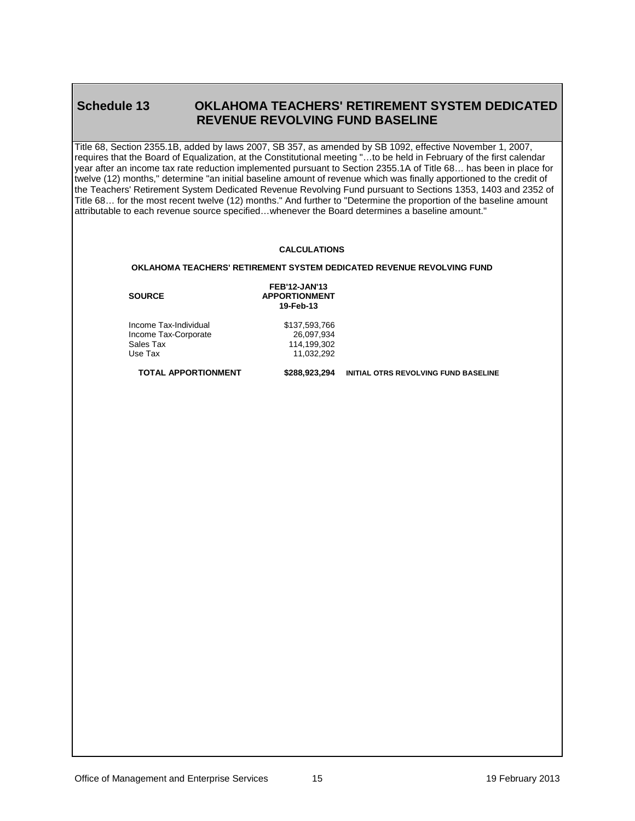#### <span id="page-14-0"></span>**Schedule 13 OKLAHOMA TEACHERS' RETIREMENT SYSTEM DEDICATED REVENUE REVOLVING FUND BASELINE**

Title 68, Section 2355.1B, added by laws 2007, SB 357, as amended by SB 1092, effective November 1, 2007, requires that the Board of Equalization, at the Constitutional meeting "…to be held in February of the first calendar year after an income tax rate reduction implemented pursuant to Section 2355.1A of Title 68… has been in place for twelve (12) months," determine "an initial baseline amount of revenue which was finally apportioned to the credit of the Teachers' Retirement System Dedicated Revenue Revolving Fund pursuant to Sections 1353, 1403 and 2352 of Title 68… for the most recent twelve (12) months." And further to "Determine the proportion of the baseline amount attributable to each revenue source specified…whenever the Board determines a baseline amount."

#### **CALCULATIONS**

#### **OKLAHOMA TEACHERS' RETIREMENT SYSTEM DEDICATED REVENUE REVOLVING FUND**

11,032,292

**SOURCE**

**FEB'12-JAN'13 APPORTIONMENT 19-Feb-13**

Income Tax-Individual \$137,593,766<br>Income Tax-Corporate \$26,097.934 Income Tax-Corporate<br>Sales Tax Sales Tax 114,199,302<br>Use Tax 11,032,292

**TOTAL APPORTIONMENT \$288,923,294 INITIAL OTRS REVOLVING FUND BASELINE**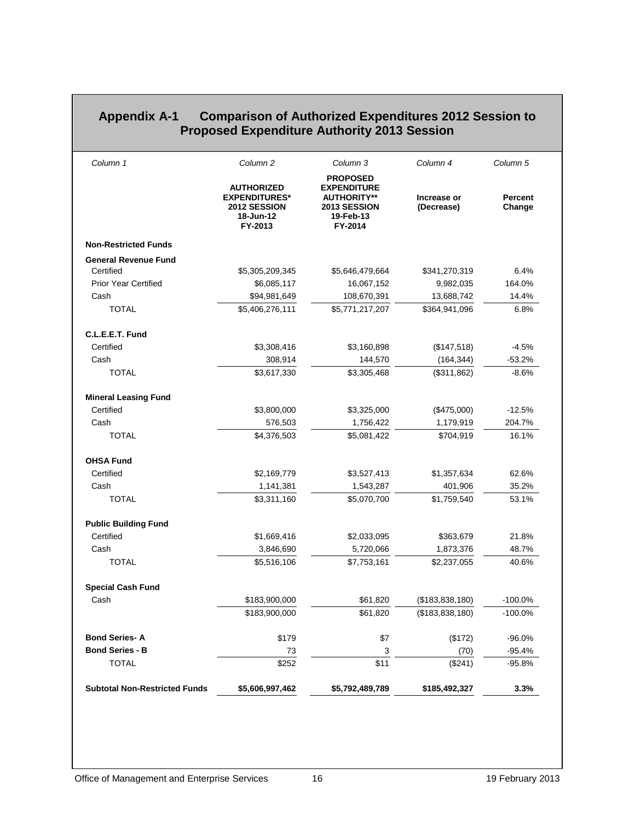|                             | Column <sub>2</sub>                                                               | Column 3                                                                                            | Column 4                  | Column <sub>5</sub>      |
|-----------------------------|-----------------------------------------------------------------------------------|-----------------------------------------------------------------------------------------------------|---------------------------|--------------------------|
|                             | <b>AUTHORIZED</b><br><b>EXPENDITURES*</b><br>2012 SESSION<br>18-Jun-12<br>FY-2013 | <b>PROPOSED</b><br><b>EXPENDITURE</b><br><b>AUTHORITY**</b><br>2013 SESSION<br>19-Feb-13<br>FY-2014 | Increase or<br>(Decrease) | <b>Percent</b><br>Change |
| <b>Non-Restricted Funds</b> |                                                                                   |                                                                                                     |                           |                          |
| <b>General Revenue Fund</b> |                                                                                   |                                                                                                     |                           |                          |
| Certified                   | \$5,305,209,345                                                                   | \$5,646,479,664                                                                                     | \$341,270,319             | 6.4%                     |
| <b>Prior Year Certified</b> | \$6,085,117                                                                       | 16,067,152                                                                                          | 9,982,035                 | 164.0%                   |
| Cash                        | \$94,981,649                                                                      | 108,670,391                                                                                         | 13,688,742                | 14.4%                    |
| <b>TOTAL</b>                | \$5,406,276,111                                                                   | \$5,771,217,207                                                                                     | \$364,941,096             | 6.8%                     |
| C.L.E.E.T. Fund             |                                                                                   |                                                                                                     |                           |                          |
| Certified                   | \$3,308,416                                                                       | \$3,160,898                                                                                         | (\$147,518)               | $-4.5%$                  |
| Cash                        | 308,914                                                                           | 144,570                                                                                             | (164, 344)                | $-53.2%$                 |
| <b>TOTAL</b>                | \$3,617,330                                                                       | \$3,305,468                                                                                         | (\$311,862)               | $-8.6%$                  |
| <b>Mineral Leasing Fund</b> |                                                                                   |                                                                                                     |                           |                          |
| Certified                   | \$3,800,000                                                                       | \$3,325,000                                                                                         | (\$475,000)               | $-12.5%$                 |
| Cash                        | 576,503                                                                           | 1,756,422                                                                                           | 1,179,919                 | 204.7%                   |
| <b>TOTAL</b>                | \$4,376,503                                                                       | \$5,081,422                                                                                         | \$704,919                 | 16.1%                    |
| <b>OHSA Fund</b>            |                                                                                   |                                                                                                     |                           |                          |
| Certified                   | \$2,169,779                                                                       | \$3,527,413                                                                                         | \$1,357,634               | 62.6%                    |
| Cash                        | 1,141,381                                                                         | 1,543,287                                                                                           | 401,906                   | 35.2%                    |
| <b>TOTAL</b>                | \$3,311,160                                                                       | \$5,070,700                                                                                         | \$1,759,540               | 53.1%                    |
| <b>Public Building Fund</b> |                                                                                   |                                                                                                     |                           |                          |
| Certified                   | \$1,669,416                                                                       | \$2,033,095                                                                                         | \$363,679                 | 21.8%                    |
| Cash                        | 3,846,690                                                                         | 5,720,066                                                                                           | 1,873,376                 | 48.7%                    |
| <b>TOTAL</b>                | \$5,516,106                                                                       | \$7,753,161                                                                                         | \$2,237,055               | 40.6%                    |
| <b>Special Cash Fund</b>    |                                                                                   |                                                                                                     |                           |                          |
| Cash                        | \$183,900,000                                                                     | \$61,820                                                                                            | (\$183,838,180)           | $-100.0%$                |
|                             | \$183,900,000                                                                     | \$61,820                                                                                            | (\$183,838,180)           | $-100.0%$                |
| <b>Bond Series-A</b>        | \$179                                                                             | \$7                                                                                                 | (\$172)                   | $-96.0%$                 |
|                             | 73                                                                                | 3                                                                                                   | (70)                      | $-95.4%$                 |
| <b>Bond Series - B</b>      |                                                                                   |                                                                                                     |                           |                          |
| <b>TOTAL</b>                | \$252                                                                             | \$11                                                                                                | (\$241)                   | $-95.8%$                 |

#### <span id="page-15-0"></span>**Appendix A-1 Comparison of Authorized Expenditures 2012 Session to Proposed Expenditure Authority 2013 Session**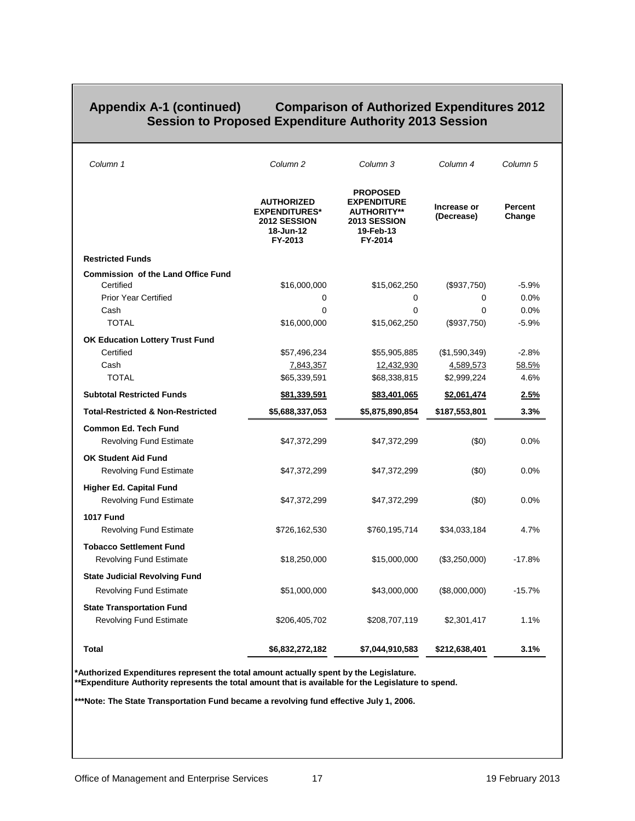#### <span id="page-16-0"></span>**Appendix A-1 (continued) Comparison of Authorized Expenditures 2012 Session to Proposed Expenditure Authority 2013 Session**

| Column 1                                                         | Column 2                                                                          | Column 3                                                                                            | Column 4                  | Column 5          |
|------------------------------------------------------------------|-----------------------------------------------------------------------------------|-----------------------------------------------------------------------------------------------------|---------------------------|-------------------|
|                                                                  | <b>AUTHORIZED</b><br><b>EXPENDITURES*</b><br>2012 SESSION<br>18-Jun-12<br>FY-2013 | <b>PROPOSED</b><br><b>EXPENDITURE</b><br><b>AUTHORITY**</b><br>2013 SESSION<br>19-Feb-13<br>FY-2014 | Increase or<br>(Decrease) | Percent<br>Change |
| <b>Restricted Funds</b>                                          |                                                                                   |                                                                                                     |                           |                   |
| <b>Commission of the Land Office Fund</b>                        |                                                                                   |                                                                                                     |                           |                   |
| Certified                                                        | \$16,000,000                                                                      | \$15,062,250                                                                                        | (\$937,750)               | $-5.9%$           |
| <b>Prior Year Certified</b>                                      | 0                                                                                 | 0                                                                                                   | 0                         | 0.0%              |
| Cash                                                             | $\Omega$                                                                          | $\mathbf{0}$                                                                                        | $\Omega$                  | 0.0%              |
| <b>TOTAL</b>                                                     | \$16,000,000                                                                      | \$15,062,250                                                                                        | (\$937,750)               | $-5.9%$           |
| <b>OK Education Lottery Trust Fund</b>                           |                                                                                   |                                                                                                     |                           |                   |
| Certified                                                        | \$57,496,234                                                                      | \$55,905,885                                                                                        | (\$1,590,349)             | $-2.8%$           |
| Cash                                                             | <u>7,843,357</u>                                                                  | 12,432,930                                                                                          | <u>4,589,573</u>          | 58.5%             |
| <b>TOTAL</b>                                                     | \$65,339,591                                                                      | \$68,338,815                                                                                        | \$2,999,224               | 4.6%              |
| <b>Subtotal Restricted Funds</b>                                 | \$81,339,591                                                                      | \$83,401,065                                                                                        | \$2,061,474               | 2.5%              |
| <b>Total-Restricted &amp; Non-Restricted</b>                     | \$5,688,337,053                                                                   | \$5,875,890,854                                                                                     | \$187,553,801             | 3.3%              |
| <b>Common Ed. Tech Fund</b><br><b>Revolving Fund Estimate</b>    | \$47,372,299                                                                      | \$47,372,299                                                                                        | (50)                      | 0.0%              |
| <b>OK Student Aid Fund</b><br><b>Revolving Fund Estimate</b>     | \$47,372,299                                                                      | \$47,372,299                                                                                        | (50)                      | 0.0%              |
| <b>Higher Ed. Capital Fund</b><br><b>Revolving Fund Estimate</b> | \$47,372,299                                                                      | \$47,372,299                                                                                        | (50)                      | 0.0%              |
| <b>1017 Fund</b>                                                 |                                                                                   |                                                                                                     |                           |                   |
| <b>Revolving Fund Estimate</b>                                   | \$726,162,530                                                                     | \$760,195,714                                                                                       | \$34,033,184              | 4.7%              |
| <b>Tobacco Settlement Fund</b><br><b>Revolving Fund Estimate</b> | \$18,250,000                                                                      | \$15,000,000                                                                                        | (\$3,250,000)             | $-17.8%$          |
| <b>State Judicial Revolving Fund</b>                             |                                                                                   |                                                                                                     |                           |                   |
| <b>Revolving Fund Estimate</b>                                   | \$51,000,000                                                                      | \$43,000,000                                                                                        | (\$8,000,000)             | $-15.7%$          |
| <b>State Transportation Fund</b>                                 |                                                                                   |                                                                                                     |                           |                   |
| <b>Revolving Fund Estimate</b>                                   | \$206,405,702                                                                     | \$208,707,119                                                                                       | \$2,301,417               | 1.1%              |
| <b>Total</b>                                                     | \$6,832,272,182                                                                   | \$7,044,910,583                                                                                     | \$212,638,401             | 3.1%              |

**\*Authorized Expenditures represent the total amount actually spent by the Legislature. \*\*Expenditure Authority represents the total amount that is available for the Legislature to spend.**

**\*\*\*Note: The State Transportation Fund became a revolving fund effective July 1, 2006.**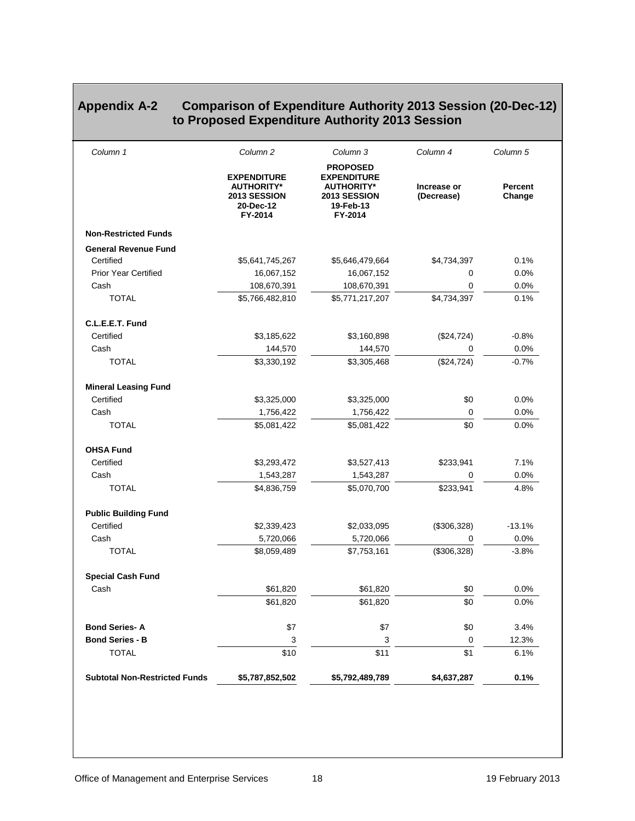#### <span id="page-17-0"></span>**Appendix A-2 Comparison of Expenditure Authority 2013 Session (20-Dec-12) to Proposed Expenditure Authority 2013 Session**

| Column 1                             | Column <sub>2</sub>                                                             | Column 3                                                                                           | Column 4                  | Column 5                 |
|--------------------------------------|---------------------------------------------------------------------------------|----------------------------------------------------------------------------------------------------|---------------------------|--------------------------|
|                                      | <b>EXPENDITURE</b><br><b>AUTHORITY*</b><br>2013 SESSION<br>20-Dec-12<br>FY-2014 | <b>PROPOSED</b><br><b>EXPENDITURE</b><br><b>AUTHORITY*</b><br>2013 SESSION<br>19-Feb-13<br>FY-2014 | Increase or<br>(Decrease) | <b>Percent</b><br>Change |
| <b>Non-Restricted Funds</b>          |                                                                                 |                                                                                                    |                           |                          |
| <b>General Revenue Fund</b>          |                                                                                 |                                                                                                    |                           |                          |
| Certified                            | \$5,641,745,267                                                                 | \$5,646,479,664                                                                                    | \$4,734,397               | 0.1%                     |
| <b>Prior Year Certified</b>          | 16,067,152                                                                      | 16,067,152                                                                                         | 0                         | 0.0%                     |
| Cash                                 | 108,670,391                                                                     | 108,670,391                                                                                        | 0                         | 0.0%                     |
| <b>TOTAL</b>                         | \$5,766,482,810                                                                 | \$5,771,217,207                                                                                    | \$4,734,397               | 0.1%                     |
| C.L.E.E.T. Fund                      |                                                                                 |                                                                                                    |                           |                          |
| Certified                            | \$3,185,622                                                                     | \$3,160,898                                                                                        | (\$24,724)                | $-0.8%$                  |
| Cash                                 | 144,570                                                                         | 144,570                                                                                            | 0                         | 0.0%                     |
| <b>TOTAL</b>                         | \$3,330,192                                                                     | \$3,305,468                                                                                        | (\$24,724)                | $-0.7%$                  |
| <b>Mineral Leasing Fund</b>          |                                                                                 |                                                                                                    |                           |                          |
| Certified                            | \$3,325,000                                                                     | \$3,325,000                                                                                        | \$0                       | 0.0%                     |
| Cash                                 | 1,756,422                                                                       | 1,756,422                                                                                          | 0                         | 0.0%                     |
| <b>TOTAL</b>                         | \$5,081,422                                                                     | \$5,081,422                                                                                        | \$0                       | 0.0%                     |
| <b>OHSA Fund</b>                     |                                                                                 |                                                                                                    |                           |                          |
| Certified                            | \$3,293,472                                                                     | \$3,527,413                                                                                        | \$233,941                 | 7.1%                     |
| Cash                                 | 1,543,287                                                                       | 1,543,287                                                                                          | 0                         | 0.0%                     |
| <b>TOTAL</b>                         | \$4,836,759                                                                     | \$5,070,700                                                                                        | \$233,941                 | 4.8%                     |
| <b>Public Building Fund</b>          |                                                                                 |                                                                                                    |                           |                          |
| Certified                            | \$2,339,423                                                                     | \$2,033,095                                                                                        | (\$306,328)               | $-13.1%$                 |
| Cash                                 | 5,720,066                                                                       | 5,720,066                                                                                          | 0                         | 0.0%                     |
| <b>TOTAL</b>                         | \$8.059.489                                                                     | \$7,753,161                                                                                        | (\$306,328)               | $-3.8%$                  |
| <b>Special Cash Fund</b>             |                                                                                 |                                                                                                    |                           |                          |
| Cash                                 | \$61,820                                                                        | \$61,820                                                                                           | \$0                       | $0.0\%$                  |
|                                      | \$61,820                                                                        | \$61,820                                                                                           | \$0                       | 0.0%                     |
| <b>Bond Series-A</b>                 | \$7                                                                             | \$7                                                                                                | \$0                       | 3.4%                     |
| <b>Bond Series - B</b>               | 3                                                                               | $\mathsf 3$                                                                                        | 0                         | 12.3%                    |
| <b>TOTAL</b>                         | \$10                                                                            | \$11                                                                                               | \$1                       | 6.1%                     |
| <b>Subtotal Non-Restricted Funds</b> | \$5,787,852,502                                                                 | \$5,792,489,789                                                                                    | \$4,637,287               | 0.1%                     |